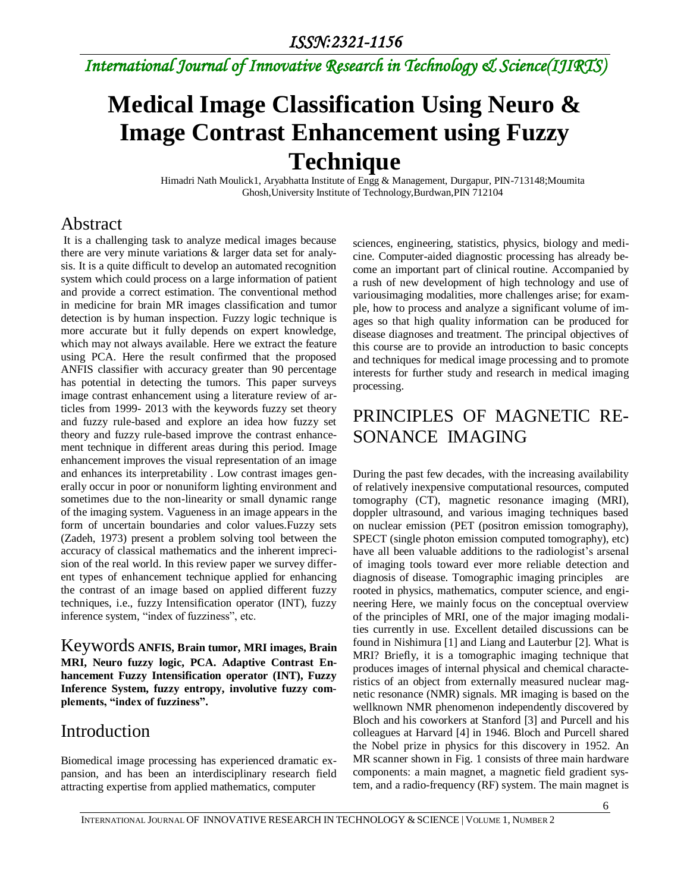*International Journal of Innovative Research in Technology & Science(IJIRTS)*

# **Medical Image Classification Using Neuro & Image Contrast Enhancement using Fuzzy Technique**

Himadri Nath Moulick1, Aryabhatta Institute of Engg & Management, Durgapur, PIN-713148;Moumita Ghosh,University Institute of Technology,Burdwan,PIN 712104

### Abstract

It is a challenging task to analyze medical images because there are very minute variations & larger data set for analysis. It is a quite difficult to develop an automated recognition system which could process on a large information of patient and provide a correct estimation. The conventional method in medicine for brain MR images classification and tumor detection is by human inspection. Fuzzy logic technique is more accurate but it fully depends on expert knowledge, which may not always available. Here we extract the feature using PCA. Here the result confirmed that the proposed ANFIS classifier with accuracy greater than 90 percentage has potential in detecting the tumors. This paper surveys image contrast enhancement using a literature review of articles from 1999- 2013 with the keywords fuzzy set theory and fuzzy rule-based and explore an idea how fuzzy set theory and fuzzy rule-based improve the contrast enhancement technique in different areas during this period. Image enhancement improves the visual representation of an image and enhances its interpretability . Low contrast images generally occur in poor or nonuniform lighting environment and sometimes due to the non-linearity or small dynamic range of the imaging system. Vagueness in an image appears in the form of uncertain boundaries and color values.Fuzzy sets (Zadeh, 1973) present a problem solving tool between the accuracy of classical mathematics and the inherent imprecision of the real world. In this review paper we survey different types of enhancement technique applied for enhancing the contrast of an image based on applied different fuzzy techniques, i.e., fuzzy Intensification operator (INT), fuzzy inference system, "index of fuzziness", etc.

Keywords **ANFIS, Brain tumor, MRI images, Brain MRI, Neuro fuzzy logic, PCA. Adaptive Contrast Enhancement Fuzzy Intensification operator (INT), Fuzzy Inference System, fuzzy entropy, involutive fuzzy complements, "index of fuzziness".**

## Introduction

Biomedical image processing has experienced dramatic expansion, and has been an interdisciplinary research field attracting expertise from applied mathematics, computer

sciences, engineering, statistics, physics, biology and medicine. Computer-aided diagnostic processing has already become an important part of clinical routine. Accompanied by a rush of new development of high technology and use of variousimaging modalities, more challenges arise; for example, how to process and analyze a significant volume of images so that high quality information can be produced for disease diagnoses and treatment. The principal objectives of this course are to provide an introduction to basic concepts and techniques for medical image processing and to promote interests for further study and research in medical imaging processing.

## PRINCIPLES OF MAGNETIC RE-SONANCE IMAGING

During the past few decades, with the increasing availability of relatively inexpensive computational resources, computed tomography (CT), magnetic resonance imaging (MRI), doppler ultrasound, and various imaging techniques based on nuclear emission (PET (positron emission tomography), SPECT (single photon emission computed tomography), etc) have all been valuable additions to the radiologist's arsenal of imaging tools toward ever more reliable detection and diagnosis of disease. Tomographic imaging principles are rooted in physics, mathematics, computer science, and engineering Here, we mainly focus on the conceptual overview of the principles of MRI, one of the major imaging modalities currently in use. Excellent detailed discussions can be found in Nishimura [1] and Liang and Lauterbur [2]. What is MRI? Briefly, it is a tomographic imaging technique that produces images of internal physical and chemical characteristics of an object from externally measured nuclear magnetic resonance (NMR) signals. MR imaging is based on the wellknown NMR phenomenon independently discovered by Bloch and his coworkers at Stanford [3] and Purcell and his colleagues at Harvard [4] in 1946. Bloch and Purcell shared the Nobel prize in physics for this discovery in 1952. An MR scanner shown in Fig. 1 consists of three main hardware components: a main magnet, a magnetic field gradient system, and a radio-frequency (RF) system. The main magnet is

6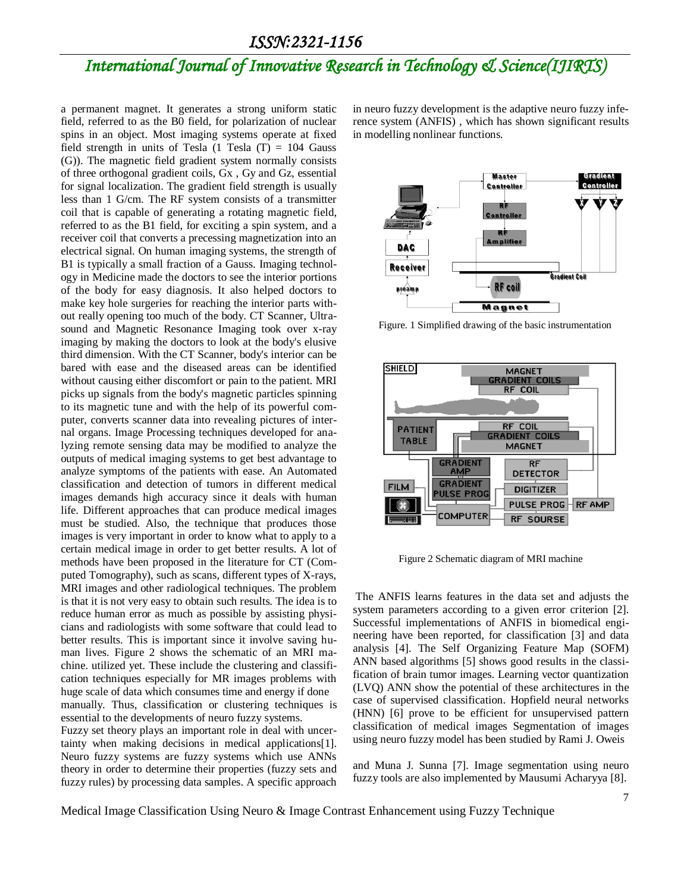# *International Journal of Innovative Research in Technology & Science(IJIRTS)*

a permanent magnet. It generates a strong uniform static field, referred to as the B0 field, for polarization of nuclear spins in an object. Most imaging systems operate at fixed field strength in units of Tesla  $(1$  Tesla  $(T) = 104$  Gauss (G)). The magnetic field gradient system normally consists of three orthogonal gradient coils, Gx , Gy and Gz, essential for signal localization. The gradient field strength is usually less than 1 G/cm. The RF system consists of a transmitter coil that is capable of generating a rotating magnetic field, referred to as the B1 field, for exciting a spin system, and a receiver coil that converts a precessing magnetization into an electrical signal. On human imaging systems, the strength of B1 is typically a small fraction of a Gauss. Imaging technology in Medicine made the doctors to see the interior portions of the body for easy diagnosis. It also helped doctors to make key hole surgeries for reaching the interior parts without really opening too much of the body. CT Scanner, Ultrasound and Magnetic Resonance Imaging took over x-ray imaging by making the doctors to look at the body's elusive third dimension. With the CT Scanner, body's interior can be bared with ease and the diseased areas can be identified without causing either discomfort or pain to the patient. MRI picks up signals from the body's magnetic particles spinning to its magnetic tune and with the help of its powerful computer, converts scanner data into revealing pictures of internal organs. Image Processing techniques developed for analyzing remote sensing data may be modified to analyze the outputs of medical imaging systems to get best advantage to analyze symptoms of the patients with ease. An Automated classification and detection of tumors in different medical images demands high accuracy since it deals with human life. Different approaches that can produce medical images must be studied. Also, the technique that produces those images is very important in order to know what to apply to a certain medical image in order to get better results. A lot of methods have been proposed in the literature for CT (Computed Tomography), such as scans, different types of X-rays, MRI images and other radiological techniques. The problem is that it is not very easy to obtain such results. The idea is to reduce human error as much as possible by assisting physicians and radiologists with some software that could lead to better results. This is important since it involve saving human lives. Figure 2 shows the schematic of an MRI machine. utilized yet. These include the clustering and classification techniques especially for MR images problems with huge scale of data which consumes time and energy if done manually. Thus, classification or clustering techniques is

essential to the developments of neuro fuzzy systems. Fuzzy set theory plays an important role in deal with uncertainty when making decisions in medical applications[1]. Neuro fuzzy systems are fuzzy systems which use ANNs theory in order to determine their properties (fuzzy sets and fuzzy rules) by processing data samples. A specific approach

in neuro fuzzy development is the adaptive neuro fuzzy inference system (ANFIS) , which has shown significant results in modelling nonlinear functions.



Figure. 1 Simplified drawing of the basic instrumentation



Figure 2 Schematic diagram of MRI machine

The ANFIS learns features in the data set and adjusts the system parameters according to a given error criterion [2]. Successful implementations of ANFIS in biomedical engineering have been reported, for classification [3] and data analysis [4]. The Self Organizing Feature Map (SOFM) ANN based algorithms [5] shows good results in the classification of brain tumor images. Learning vector quantization (LVQ) ANN show the potential of these architectures in the case of supervised classification. Hopfield neural networks (HNN) [6] prove to be efficient for unsupervised pattern classification of medical images Segmentation of images using neuro fuzzy model has been studied by Rami J. Oweis

and Muna J. Sunna [7]. Image segmentation using neuro fuzzy tools are also implemented by Mausumi Acharyya [8].

Medical Image Classification Using Neuro & Image Contrast Enhancement using Fuzzy Technique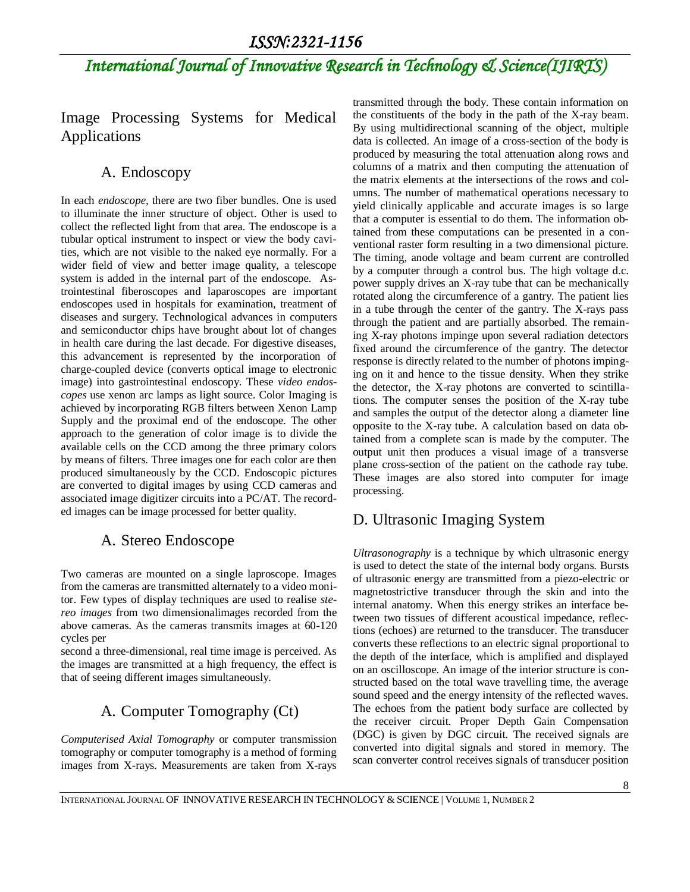# *International Journal of Innovative Research in Technology & Science(IJIRTS)*

Image Processing Systems for Medical Applications

#### A. Endoscopy

In each *endoscope*, there are two fiber bundles. One is used to illuminate the inner structure of object. Other is used to collect the reflected light from that area. The endoscope is a tubular optical instrument to inspect or view the body cavities, which are not visible to the naked eye normally. For a wider field of view and better image quality, a telescope system is added in the internal part of the endoscope. Astrointestinal fiberoscopes and laparoscopes are important endoscopes used in hospitals for examination, treatment of diseases and surgery. Technological advances in computers and semiconductor chips have brought about lot of changes in health care during the last decade. For digestive diseases, this advancement is represented by the incorporation of charge-coupled device (converts optical image to electronic image) into gastrointestinal endoscopy. These *video endoscopes* use xenon arc lamps as light source. Color Imaging is achieved by incorporating RGB filters between Xenon Lamp Supply and the proximal end of the endoscope. The other approach to the generation of color image is to divide the available cells on the CCD among the three primary colors by means of filters. Three images one for each color are then produced simultaneously by the CCD. Endoscopic pictures are converted to digital images by using CCD cameras and associated image digitizer circuits into a PC/AT. The recorded images can be image processed for better quality.

#### A. Stereo Endoscope

Two cameras are mounted on a single laproscope. Images from the cameras are transmitted alternately to a video monitor. Few types of display techniques are used to realise *stereo images* from two dimensionalimages recorded from the above cameras. As the cameras transmits images at 60-120 cycles per

second a three-dimensional, real time image is perceived. As the images are transmitted at a high frequency, the effect is that of seeing different images simultaneously.

### A. Computer Tomography (Ct)

*Computerised Axial Tomography* or computer transmission tomography or computer tomography is a method of forming images from X-rays. Measurements are taken from X-rays transmitted through the body. These contain information on the constituents of the body in the path of the X-ray beam. By using multidirectional scanning of the object, multiple data is collected. An image of a cross-section of the body is produced by measuring the total attenuation along rows and columns of a matrix and then computing the attenuation of the matrix elements at the intersections of the rows and columns. The number of mathematical operations necessary to yield clinically applicable and accurate images is so large that a computer is essential to do them. The information obtained from these computations can be presented in a conventional raster form resulting in a two dimensional picture. The timing, anode voltage and beam current are controlled by a computer through a control bus. The high voltage d.c. power supply drives an X-ray tube that can be mechanically rotated along the circumference of a gantry. The patient lies in a tube through the center of the gantry. The X-rays pass through the patient and are partially absorbed. The remaining X-ray photons impinge upon several radiation detectors fixed around the circumference of the gantry. The detector response is directly related to the number of photons impinging on it and hence to the tissue density. When they strike the detector, the X-ray photons are converted to scintillations. The computer senses the position of the X-ray tube and samples the output of the detector along a diameter line opposite to the X-ray tube. A calculation based on data obtained from a complete scan is made by the computer. The output unit then produces a visual image of a transverse plane cross-section of the patient on the cathode ray tube. These images are also stored into computer for image processing.

### D. Ultrasonic Imaging System

*Ultrasonography* is a technique by which ultrasonic energy is used to detect the state of the internal body organs. Bursts of ultrasonic energy are transmitted from a piezo-electric or magnetostrictive transducer through the skin and into the internal anatomy. When this energy strikes an interface between two tissues of different acoustical impedance, reflections (echoes) are returned to the transducer. The transducer converts these reflections to an electric signal proportional to the depth of the interface, which is amplified and displayed on an oscilloscope. An image of the interior structure is constructed based on the total wave travelling time, the average sound speed and the energy intensity of the reflected waves. The echoes from the patient body surface are collected by the receiver circuit. Proper Depth Gain Compensation (DGC) is given by DGC circuit. The received signals are converted into digital signals and stored in memory. The scan converter control receives signals of transducer position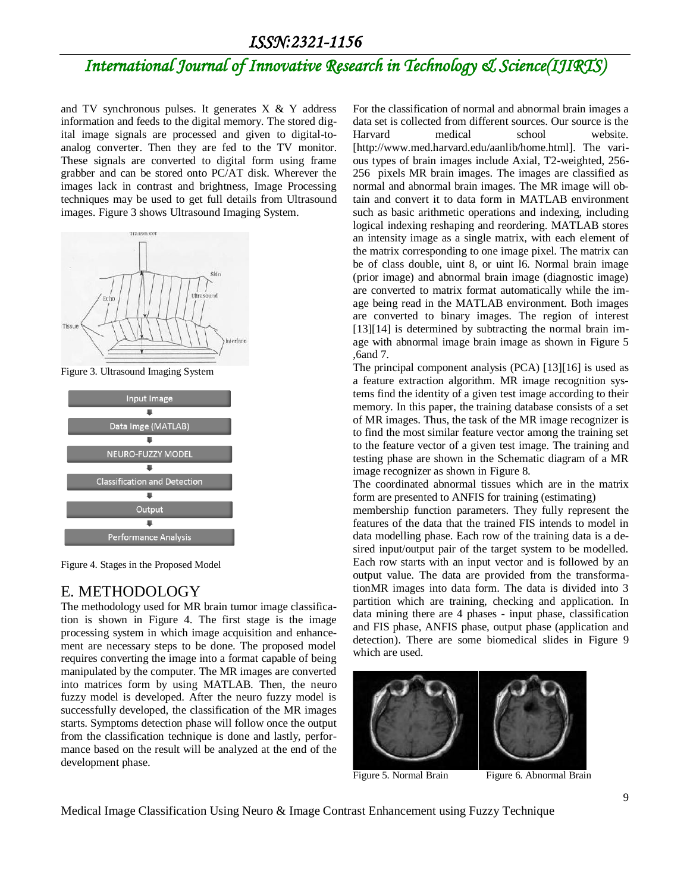# *International Journal of Innovative Research in Technology & Science(IJIRTS)*

and TV synchronous pulses. It generates X & Y address information and feeds to the digital memory. The stored digital image signals are processed and given to digital-toanalog converter. Then they are fed to the TV monitor. These signals are converted to digital form using frame grabber and can be stored onto PC/AT disk. Wherever the images lack in contrast and brightness, Image Processing techniques may be used to get full details from Ultrasound images. Figure 3 shows Ultrasound Imaging System.



Figure 3. Ultrasound Imaging System



Figure 4. Stages in the Proposed Model

#### E. METHODOLOGY

The methodology used for MR brain tumor image classification is shown in Figure 4. The first stage is the image processing system in which image acquisition and enhancement are necessary steps to be done. The proposed model requires converting the image into a format capable of being manipulated by the computer. The MR images are converted into matrices form by using MATLAB. Then, the neuro fuzzy model is developed. After the neuro fuzzy model is successfully developed, the classification of the MR images starts. Symptoms detection phase will follow once the output from the classification technique is done and lastly, performance based on the result will be analyzed at the end of the development phase.

For the classification of normal and abnormal brain images a data set is collected from different sources. Our source is the Harvard medical school website. [http://www.med.harvard.edu/aanlib/home.html]. The various types of brain images include Axial, T2-weighted, 256- 256 pixels MR brain images. The images are classified as normal and abnormal brain images. The MR image will obtain and convert it to data form in MATLAB environment such as basic arithmetic operations and indexing, including logical indexing reshaping and reordering. MATLAB stores an intensity image as a single matrix, with each element of the matrix corresponding to one image pixel. The matrix can be of class double, uint 8, or uint l6. Normal brain image (prior image) and abnormal brain image (diagnostic image) are converted to matrix format automatically while the image being read in the MATLAB environment. Both images are converted to binary images. The region of interest [13][14] is determined by subtracting the normal brain image with abnormal image brain image as shown in Figure 5 ,6and 7.

The principal component analysis (PCA) [13][16] is used as a feature extraction algorithm. MR image recognition systems find the identity of a given test image according to their memory. In this paper, the training database consists of a set of MR images. Thus, the task of the MR image recognizer is to find the most similar feature vector among the training set to the feature vector of a given test image. The training and testing phase are shown in the Schematic diagram of a MR image recognizer as shown in Figure 8.

The coordinated abnormal tissues which are in the matrix form are presented to ANFIS for training (estimating)

membership function parameters. They fully represent the features of the data that the trained FIS intends to model in data modelling phase. Each row of the training data is a desired input/output pair of the target system to be modelled. Each row starts with an input vector and is followed by an output value. The data are provided from the transformationMR images into data form. The data is divided into 3 partition which are training, checking and application. In data mining there are 4 phases - input phase, classification and FIS phase, ANFIS phase, output phase (application and detection). There are some biomedical slides in Figure 9 which are used.



Figure 5. Normal Brain Figure 6. Abnormal Brain

Medical Image Classification Using Neuro & Image Contrast Enhancement using Fuzzy Technique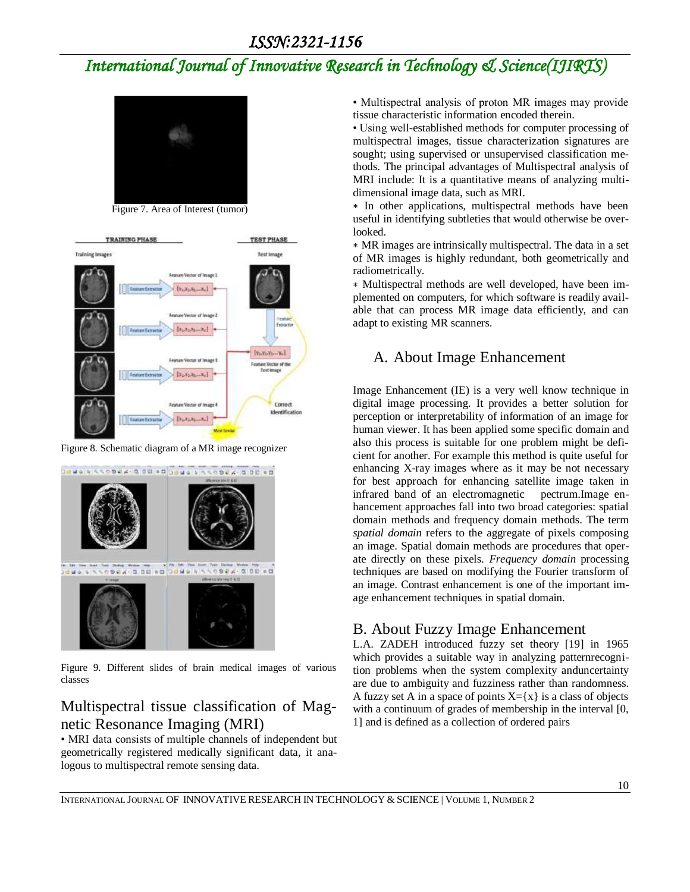## *International Journal of Innovative Research in Technology & Science(IJIRTS)*



Figure 7. Area of Interest (tumor)



Figure 8. Schematic diagram of a MR image recognizer



Figure 9. Different slides of brain medical images of various classes

### Multispectral tissue classification of Magnetic Resonance Imaging (MRI)

• MRI data consists of multiple channels of independent but geometrically registered medically significant data, it analogous to multispectral remote sensing data.

• Multispectral analysis of proton MR images may provide tissue characteristic information encoded therein.

• Using well-established methods for computer processing of multispectral images, tissue characterization signatures are sought; using supervised or unsupervised classification methods. The principal advantages of Multispectral analysis of MRI include: It is a quantitative means of analyzing multidimensional image data, such as MRI.

∗ In other applications, multispectral methods have been useful in identifying subtleties that would otherwise be overlooked.

∗ MR images are intrinsically multispectral. The data in a set of MR images is highly redundant, both geometrically and radiometrically.

∗ Multispectral methods are well developed, have been implemented on computers, for which software is readily available that can process MR image data efficiently, and can adapt to existing MR scanners.

#### A. About Image Enhancement

Image Enhancement (IE) is a very well know technique in digital image processing. It provides a better solution for perception or interpretability of information of an image for human viewer. It has been applied some specific domain and also this process is suitable for one problem might be deficient for another. For example this method is quite useful for enhancing X-ray images where as it may be not necessary for best approach for enhancing satellite image taken in infrared band of an electromagnetic pectrum.Image enhancement approaches fall into two broad categories: spatial domain methods and frequency domain methods. The term *spatial domain* refers to the aggregate of pixels composing an image. Spatial domain methods are procedures that operate directly on these pixels. *Frequency domain* processing techniques are based on modifying the Fourier transform of an image. Contrast enhancement is one of the important image enhancement techniques in spatial domain.

#### B. About Fuzzy Image Enhancement

L.A. ZADEH introduced fuzzy set theory [19] in 1965 which provides a suitable way in analyzing patternrecognition problems when the system complexity anduncertainty are due to ambiguity and fuzziness rather than randomness. A fuzzy set A in a space of points  $X = \{x\}$  is a class of objects with a continuum of grades of membership in the interval [0, 1] and is defined as a collection of ordered pairs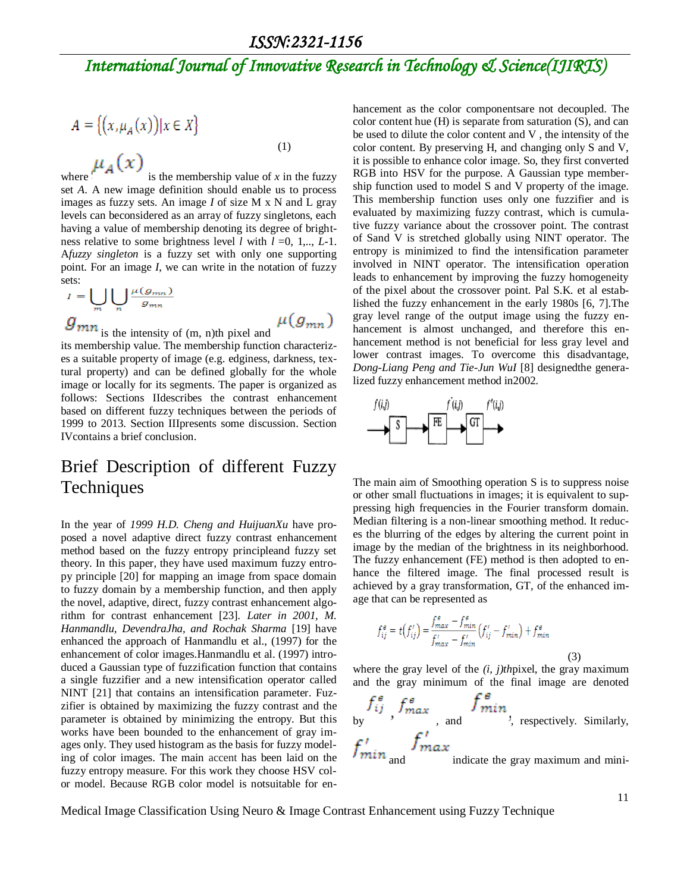# *International Journal of Innovative Research in Technology & Science(IJIRTS)*

$$
A = \{ (x, \mu_A(x)) | x \in X \}
$$
  

$$
\mu_A(x)
$$
 (1)

where  $\mathbf{i}$  is the membership value of *x* in the fuzzy set *A*. A new image definition should enable us to process images as fuzzy sets. An image *I* of size M x N and L gray levels can beconsidered as an array of fuzzy singletons, each having a value of membership denoting its degree of brightness relative to some brightness level *l* with *l* =0, 1,.., *L*-1. A*fuzzy singleton* is a fuzzy set with only one supporting point. For an image *I*, we can write in the notation of fuzzy sets:

$$
I = \bigcup_{m} \bigcup_{n} \frac{\mu(g_{mn})}{g_{mn}}
$$
  
***gmn*** is the intensity of (m, n)th pixel and

its membership value. The membership function characteriz-

es a suitable property of image (e.g. edginess, darkness, textural property) and can be defined globally for the whole image or locally for its segments. The paper is organized as follows: Sections IIdescribes the contrast enhancement based on different fuzzy techniques between the periods of 1999 to 2013. Section IIIpresents some discussion. Section IVcontains a brief conclusion.

## Brief Description of different Fuzzy **Techniques**

In the year of *1999 H.D. Cheng and HuijuanXu* have proposed a novel adaptive direct fuzzy contrast enhancement method based on the fuzzy entropy principleand fuzzy set theory. In this paper, they have used maximum fuzzy entropy principle [20] for mapping an image from space domain to fuzzy domain by a membership function, and then apply the novel, adaptive, direct, fuzzy contrast enhancement algorithm for contrast enhancement [23]. *Later in 2001, M. Hanmandlu, DevendraJha, and Rochak Sharma* [19] have enhanced the approach of Hanmandlu et al., (1997) for the enhancement of color images.Hanmandlu et al. (1997) introduced a Gaussian type of fuzzification function that contains a single fuzzifier and a new intensification operator called NINT [21] that contains an intensification parameter. Fuzzifier is obtained by maximizing the fuzzy contrast and the parameter is obtained by minimizing the entropy. But this works have been bounded to the enhancement of gray images only. They used histogram as the basis for fuzzy modeling of color images. The main accent has been laid on the fuzzy entropy measure. For this work they choose HSV color model. Because RGB color model is notsuitable for enhancement as the color componentsare not decoupled. The color content hue (H) is separate from saturation (S), and can be used to dilute the color content and V , the intensity of the color content. By preserving H, and changing only S and V, it is possible to enhance color image. So, they first converted RGB into HSV for the purpose. A Gaussian type membership function used to model S and V property of the image. This membership function uses only one fuzzifier and is evaluated by maximizing fuzzy contrast, which is cumulative fuzzy variance about the crossover point. The contrast of Sand V is stretched globally using NINT operator. The entropy is minimized to find the intensification parameter involved in NINT operator. The intensification operation leads to enhancement by improving the fuzzy homogeneity of the pixel about the crossover point. Pal S.K. et al established the fuzzy enhancement in the early 1980s [6, 7].The gray level range of the output image using the fuzzy enhancement is almost unchanged, and therefore this enhancement method is not beneficial for less gray level and lower contrast images. To overcome this disadvantage, *Dong-Liang Peng and Tie-Jun WuI* [8] designedthe generalized fuzzy enhancement method in2002.



The main aim of Smoothing operation S is to suppress noise or other small fluctuations in images; it is equivalent to suppressing high frequencies in the Fourier transform domain. Median filtering is a non-linear smoothing method. It reduces the blurring of the edges by altering the current point in image by the median of the brightness in its neighborhood. The fuzzy enhancement (FE) method is then adopted to enhance the filtered image. The final processed result is achieved by a gray transformation, GT, of the enhanced image that can be represented as

$$
f_{ij}^e = t(f'_{ij}) = \frac{f_{max}^e - f_{min}^e}{f_{max}^t - f_{min}^t} (f'_{ij} - f'_{min}) + f_{min}^e
$$

(3)

where the gray level of the *(i, j)th*pixel, the gray maximum and the gray minimum of the final image are denoted

$$
f_{ij}^s
$$
,  $f_{max}^s$ , and  $f_{min}^s$ , respectively. Similarly,  
 $f_{min}^t$  and  $f_{max}^t$  indicate the gray maximum and mini-

Medical Image Classification Using Neuro & Image Contrast Enhancement using Fuzzy Technique

11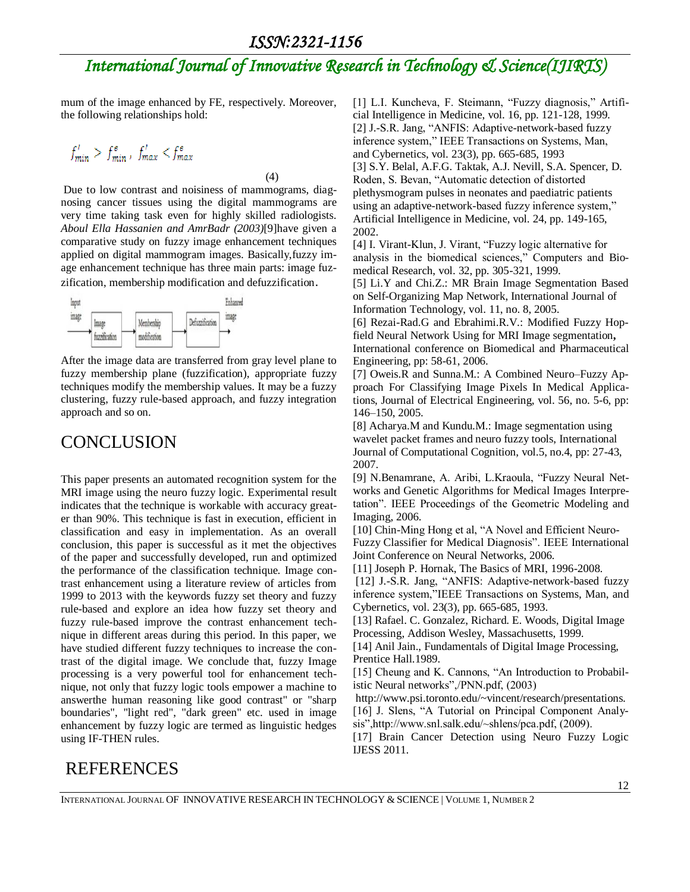(4)

# *International Journal of Innovative Research in Technology & Science(IJIRTS)*

mum of the image enhanced by FE, respectively. Moreover, the following relationships hold:

$$
f'_{min} > f^e_{min}, f'_{max} < f^e_{max}
$$

Due to low contrast and noisiness of mammograms, diagnosing cancer tissues using the digital mammograms are very time taking task even for highly skilled radiologists. *Aboul Ella Hassanien and AmrBadr (2003)*[9]have given a comparative study on fuzzy image enhancement techniques applied on digital mammogram images. Basically,fuzzy image enhancement technique has three main parts: image fuzzification, membership modification and defuzzification.



After the image data are transferred from gray level plane to fuzzy membership plane (fuzzification), appropriate fuzzy techniques modify the membership values. It may be a fuzzy clustering, fuzzy rule-based approach, and fuzzy integration approach and so on.

### CONCLUSION

This paper presents an automated recognition system for the MRI image using the neuro fuzzy logic. Experimental result indicates that the technique is workable with accuracy greater than 90%. This technique is fast in execution, efficient in classification and easy in implementation. As an overall conclusion, this paper is successful as it met the objectives of the paper and successfully developed, run and optimized the performance of the classification technique. Image contrast enhancement using a literature review of articles from 1999 to 2013 with the keywords fuzzy set theory and fuzzy rule-based and explore an idea how fuzzy set theory and fuzzy rule-based improve the contrast enhancement technique in different areas during this period. In this paper, we have studied different fuzzy techniques to increase the contrast of the digital image. We conclude that, fuzzy Image processing is a very powerful tool for enhancement technique, not only that fuzzy logic tools empower a machine to answerthe human reasoning like good contrast" or "sharp boundaries", "light red", "dark green" etc. used in image enhancement by fuzzy logic are termed as linguistic hedges using IF-THEN rules.

[1] L.I. Kuncheva, F. Steimann, "Fuzzy diagnosis," Artificial Intelligence in Medicine, vol. 16, pp. 121-128, 1999. [2] J.-S.R. Jang, "ANFIS: Adaptive-network-based fuzzy inference system," IEEE Transactions on Systems, Man, and Cybernetics, vol. 23(3), pp. 665-685, 1993 [3] S.Y. Belal, A.F.G. Taktak, A.J. Nevill, S.A. Spencer, D. Roden, S. Bevan, "Automatic detection of distorted plethysmogram pulses in neonates and paediatric patients using an adaptive-network-based fuzzy inference system," Artificial Intelligence in Medicine, vol. 24, pp. 149-165, 2002.

[4] I. Virant-Klun, J. Virant, "Fuzzy logic alternative for analysis in the biomedical sciences," Computers and Biomedical Research, vol. 32, pp. 305-321, 1999.

[5] Li.Y and Chi.Z.: MR Brain Image Segmentation Based on Self-Organizing Map Network, International Journal of Information Technology, vol. 11, no. 8, 2005.

[6] Rezai-Rad.G and Ebrahimi.R.V.: Modified Fuzzy Hopfield Neural Network Using for MRI Image segmentation**,** International conference on Biomedical and Pharmaceutical Engineering, pp: 58-61, 2006.

[7] Oweis.R and Sunna.M.: A Combined Neuro–Fuzzy Approach For Classifying Image Pixels In Medical Applications, Journal of Electrical Engineering, vol. 56, no. 5-6, pp: 146–150, 2005.

[8] Acharya.M and Kundu.M.: Image segmentation using wavelet packet frames and neuro fuzzy tools, International Journal of Computational Cognition, vol.5, no.4, pp: 27-43, 2007.

[9] N.Benamrane, A. Aribi, L.Kraoula, "Fuzzy Neural Networks and Genetic Algorithms for Medical Images Interpretation". IEEE Proceedings of the Geometric Modeling and Imaging, 2006.

[10] Chin-Ming Hong et al, "A Novel and Efficient Neuro-Fuzzy Classifier for Medical Diagnosis". IEEE International Joint Conference on Neural Networks, 2006.

[11] Joseph P. Hornak, The Basics of MRI, 1996-2008.

[12] J.-S.R. Jang, "ANFIS: Adaptive-network-based fuzzy inference system,"IEEE Transactions on Systems, Man, and Cybernetics, vol. 23(3), pp. 665-685, 1993.

[13] Rafael. C. Gonzalez, Richard. E. Woods, Digital Image Processing, Addison Wesley, Massachusetts, 1999.

[14] Anil Jain., Fundamentals of Digital Image Processing, Prentice Hall.1989.

[15] Cheung and K. Cannons, "An Introduction to Probabilistic Neural networks",/PNN.pdf, (2003)

http://www.psi.toronto.edu/~vincent/research/presentations.

[16] J. Slens, "A Tutorial on Principal Component Analysis",http://www.snl.salk.edu/~shlens/pca.pdf, (2009).

[17] Brain Cancer Detection using Neuro Fuzzy Logic IJESS 2011.

### REFERENCES

INTERNATIONAL JOURNAL OF INNOVATIVE RESEARCH IN TECHNOLOGY & SCIENCE | VOLUME 1, NUMBER 2